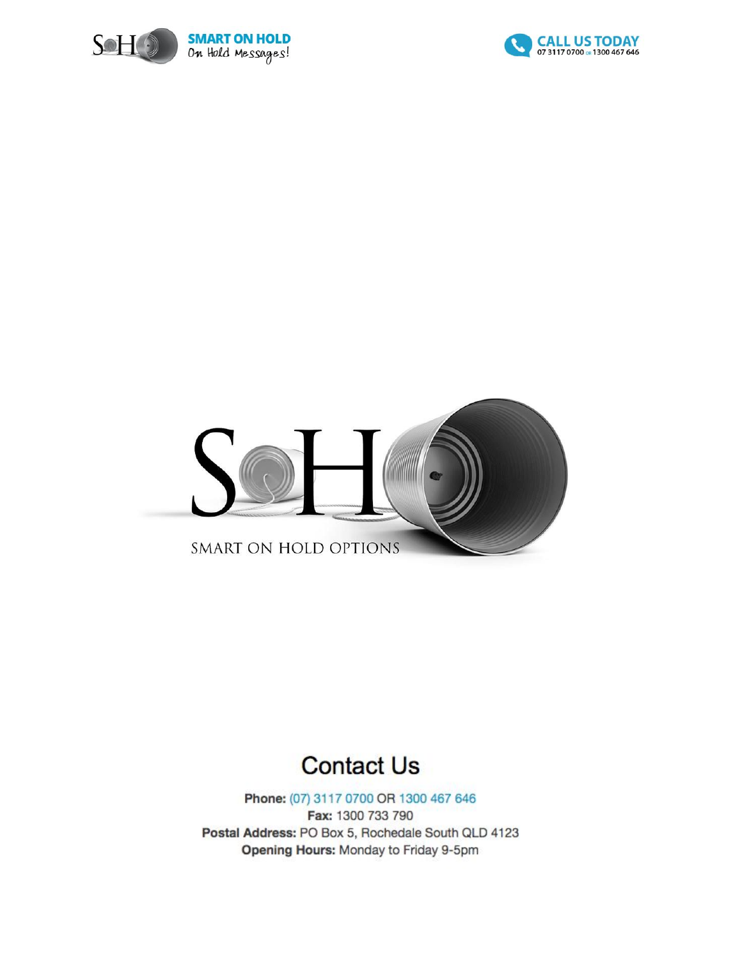





## **Contact Us**

Phone: (07) 3117 0700 OR 1300 467 646 Fax: 1300 733 790 Postal Address: PO Box 5, Rochedale South QLD 4123 Opening Hours: Monday to Friday 9-5pm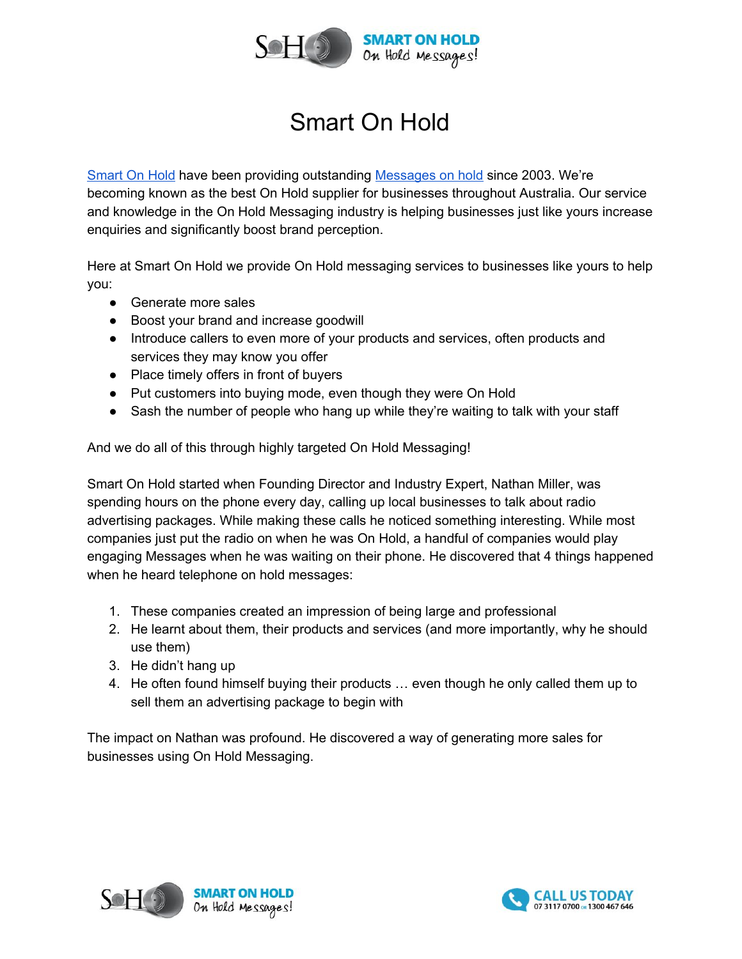

## Smart On Hold

[Smart On Hold](http://www.smartonhold.com.au/) have been providing outstanding [Messages on](http://www.smartonhold.com.au/messages-on-hold/) hold since 2003. We're becoming known as the best On Hold supplier for businesses throughout Australia. Our service and knowledge in the On Hold Messaging industry is helping businesses just like yours increase enquiries and significantly boost brand perception.

Here at Smart On Hold we provide On Hold messaging services to businesses like yours to help you:

- Generate more sales
- Boost your brand and increase goodwill
- Introduce callers to even more of your products and services, often products and services they may know you offer
- Place timely offers in front of buyers
- Put customers into buying mode, even though they were On Hold
- Sash the number of people who hang up while they're waiting to talk with your staff

And we do all of this through highly targeted On Hold Messaging!

Smart On Hold started when Founding Director and Industry Expert, Nathan Miller, was spending hours on the phone every day, calling up local businesses to talk about radio advertising packages. While making these calls he noticed something interesting. While most companies just put the radio on when he was On Hold, a handful of companies would play engaging Messages when he was waiting on their phone. He discovered that 4 things happened when he heard telephone on hold messages:

- 1. These companies created an impression of being large and professional
- 2. He learnt about them, their products and services (and more importantly, why he should use them)
- 3. He didn't hang up
- 4. He often found himself buying their products … even though he only called them up to sell them an advertising package to begin with

The impact on Nathan was profound. He discovered a way of generating more sales for businesses using On Hold Messaging.